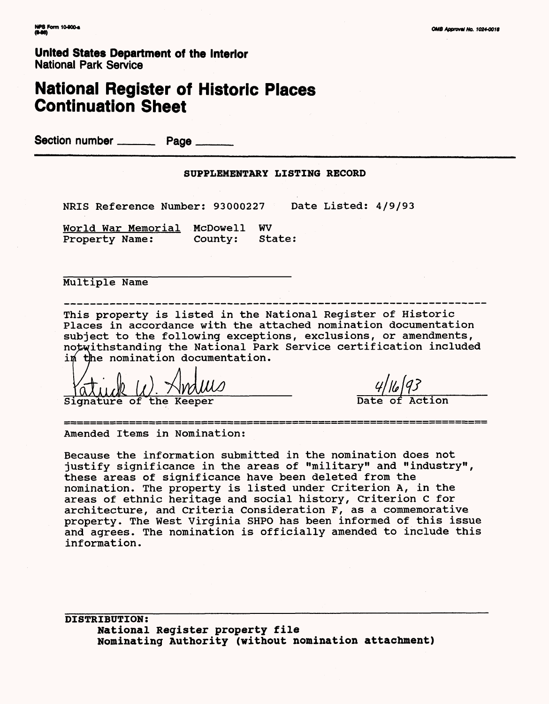**United States Department of the Interior** National Park Service

# **National Register of Historic Places Continuation Sheet**

Section number \_\_\_\_\_\_\_\_\_ Page \_\_

#### **SUPPLEMENTARY LISTING RECORD**

NRIS Reference Number: 93000227 Date Listed: 4/9/93

World War Memorial McDowell WV Property Name: County: State:

Multiple Name

This property is listed in the National Register of Historic Places in accordance with the attached nomination documentation subject to the following exceptions, exclusions, or amendments, notwithstanding the National Park Service certification included im the nomination documentation.

In the nomination documentation.<br>  $\frac{4}{16}$ <br>
Signature of the Keeper Date of Action

-----------------------------------

Amended Items in Nomination:

Because the information submitted in the nomination does not justify significance in the areas of "military" and "industry", these areas of significance have been deleted from the nomination. The property is listed under Criterion A, in the areas of ethnic heritage and social history, Criterion C for architecture, and Criteria Consideration F, as a commemorative property. The West Virginia SHPO has been informed of this issue and agrees. The nomination is officially amended to include this information.

**DISTRIBUTION: National Register property file Nominating Authority (without nomination attachment)**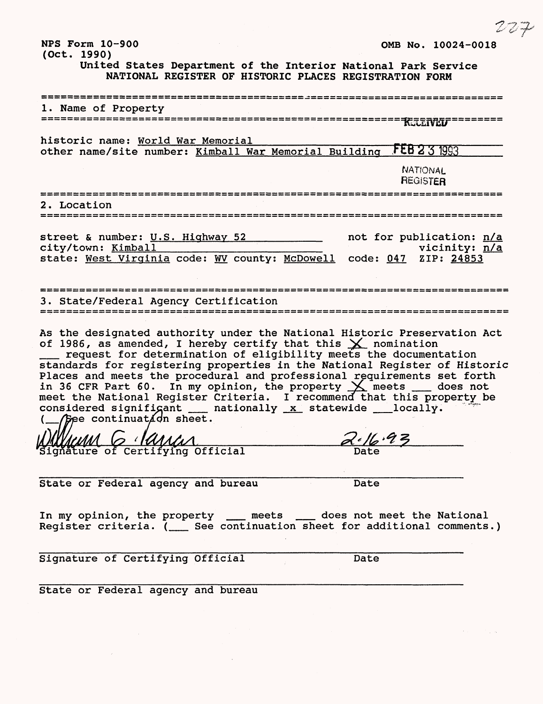| NPS Form 10-900<br>(Oct. 1990)                                                                                                                                                                                                                                                                                                                                                                                                                                                                                                                                                                                                               | OMB No. 10024-0018                                                |
|----------------------------------------------------------------------------------------------------------------------------------------------------------------------------------------------------------------------------------------------------------------------------------------------------------------------------------------------------------------------------------------------------------------------------------------------------------------------------------------------------------------------------------------------------------------------------------------------------------------------------------------------|-------------------------------------------------------------------|
| United States Department of the Interior National Park Service<br>NATIONAL REGISTER OF HISTORIC PLACES REGISTRATION FORM                                                                                                                                                                                                                                                                                                                                                                                                                                                                                                                     |                                                                   |
| 1. Name of Property                                                                                                                                                                                                                                                                                                                                                                                                                                                                                                                                                                                                                          |                                                                   |
|                                                                                                                                                                                                                                                                                                                                                                                                                                                                                                                                                                                                                                              |                                                                   |
| historic name: World War Memorial<br>other name/site number: Kimball War Memorial Building                                                                                                                                                                                                                                                                                                                                                                                                                                                                                                                                                   | <b>FEB 2 3 1993</b>                                               |
|                                                                                                                                                                                                                                                                                                                                                                                                                                                                                                                                                                                                                                              | NATIONAL<br><b>REGISTER</b>                                       |
| 2. Location<br>============================                                                                                                                                                                                                                                                                                                                                                                                                                                                                                                                                                                                                  |                                                                   |
| street & number: U.S. Highway 52<br>city/town: Kimball<br>state: West Virginia code: WV county: McDowell                                                                                                                                                                                                                                                                                                                                                                                                                                                                                                                                     | not for publication: n/a<br>vicinity: n/a<br>code: 047 ZIP: 24853 |
| 3. State/Federal Agency Certification                                                                                                                                                                                                                                                                                                                                                                                                                                                                                                                                                                                                        |                                                                   |
| As the designated authority under the National Historic Preservation Act<br>of 1986, as amended, I hereby certify that this $\times$ nomination<br>request for determination of eligibility meets the documentation<br>standards for registering properties in the National Register of Historic<br>Places and meets the procedural and professional requirements set forth<br>in 36 CFR Part 60. In my opinion, the property $\times$ meets __ does not<br>meet the National Register Criteria. I recommend that this property be<br>considered significant __ nationally x statewide __ locally.<br>$\int$ ee continuat $\angle$ dn sheet. |                                                                   |
| N AA                                                                                                                                                                                                                                                                                                                                                                                                                                                                                                                                                                                                                                         |                                                                   |
| Signature of Certifying Official                                                                                                                                                                                                                                                                                                                                                                                                                                                                                                                                                                                                             |                                                                   |
| State or Federal agency and bureau                                                                                                                                                                                                                                                                                                                                                                                                                                                                                                                                                                                                           | Date                                                              |
| In my opinion, the property ____ meets ____ does not meet the National<br>Register criteria. ( __ See continuation sheet for additional comments.)                                                                                                                                                                                                                                                                                                                                                                                                                                                                                           |                                                                   |
| Signature of Certifying Official                                                                                                                                                                                                                                                                                                                                                                                                                                                                                                                                                                                                             | Date                                                              |
| State or Federal agency and bureau                                                                                                                                                                                                                                                                                                                                                                                                                                                                                                                                                                                                           |                                                                   |

 $\label{eq:2.1} \frac{1}{\sqrt{2}}\int_{\mathbb{R}^3}\frac{1}{\sqrt{2}}\left(\frac{1}{\sqrt{2}}\right)^2\frac{1}{\sqrt{2}}\left(\frac{1}{\sqrt{2}}\right)^2\frac{1}{\sqrt{2}}\left(\frac{1}{\sqrt{2}}\right)^2.$ 

if\*"' &? "Jjr

 $\label{eq:2.1} \mathcal{L}_{\mathcal{A}}(\mathcal{A}) = \mathcal{L}_{\mathcal{A}}(\mathcal{A}) = \mathcal{L}_{\mathcal{A}}(\mathcal{A}) = \mathcal{L}_{\mathcal{A}}(\mathcal{A})$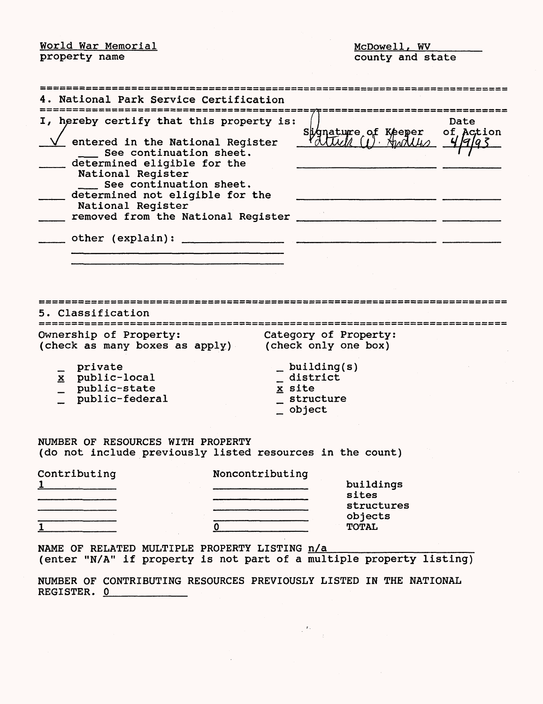World War Memorial **McDowell**, WV

property name **county** and state

|   | 4. National Park Service Certification                                                         |                 |                                                                      |                   |
|---|------------------------------------------------------------------------------------------------|-----------------|----------------------------------------------------------------------|-------------------|
|   |                                                                                                |                 |                                                                      |                   |
|   | I, hereby certify that this property is:                                                       |                 | Signature of Keeper                                                  | Date<br>of Action |
|   | entered in the National Reqister                                                               |                 | COUUVER (1) Stroubles                                                |                   |
|   | See continuation sheet.<br>determined eligible for the                                         |                 |                                                                      |                   |
|   | National Register                                                                              |                 |                                                                      |                   |
|   | See continuation sheet.                                                                        |                 |                                                                      |                   |
|   | determined not eligible for the<br>National Register                                           |                 |                                                                      |                   |
|   | removed from the National Register _                                                           |                 |                                                                      |                   |
|   |                                                                                                |                 |                                                                      |                   |
|   |                                                                                                |                 |                                                                      |                   |
|   |                                                                                                |                 |                                                                      |                   |
|   |                                                                                                |                 |                                                                      |                   |
|   |                                                                                                |                 |                                                                      |                   |
|   |                                                                                                |                 |                                                                      |                   |
|   | Classification                                                                                 |                 |                                                                      |                   |
|   | Ownership of Property:<br>(check as many boxes as apply)                                       |                 | Category of Property:<br>(check only one box)                        |                   |
|   | private                                                                                        |                 | $\_$ building(s)                                                     |                   |
|   | x public-local                                                                                 |                 | district                                                             |                   |
|   | public-state<br>public-federal                                                                 | x site          | structure                                                            |                   |
|   |                                                                                                |                 | _ object                                                             |                   |
|   |                                                                                                |                 |                                                                      |                   |
|   | NUMBER OF RESOURCES WITH PROPERTY<br>(do not include previously listed resources in the count) |                 |                                                                      |                   |
|   | Contributing                                                                                   | Noncontributing |                                                                      |                   |
|   |                                                                                                |                 | buildings<br>sites                                                   |                   |
|   |                                                                                                |                 | structures                                                           |                   |
|   |                                                                                                |                 | objects                                                              |                   |
| 1 |                                                                                                | $\mathbf{0}$    | <b>TOTAL</b>                                                         |                   |
|   | NAME OF RELATED MULTIPLE PROPERTY LISTING n/a                                                  |                 | (enter "N/A" if property is not part of a multiple property listing) |                   |
|   | REGISTER. 0                                                                                    |                 | NUMBER OF CONTRIBUTING RESOURCES PREVIOUSLY LISTED IN THE NATIONAL   |                   |
|   |                                                                                                |                 |                                                                      |                   |

 $\label{eq:2} \begin{array}{c} \mathbf{r}_{\mathrm{a}} \\ \mathbf{r}_{\mathrm{a}} \\ \mathbf{r}_{\mathrm{a}} \end{array}$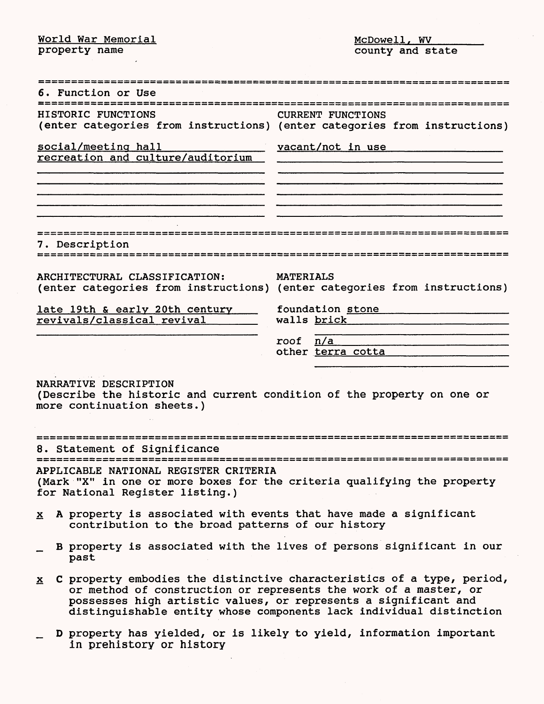World War Memorial **McDowell, W** 

property name  $\qquad \qquad \qquad \qquad \qquad$  county and state

| 6. Function or Use                                                                                                                                  |                                                                                                                                                                                                                                                                                          |
|-----------------------------------------------------------------------------------------------------------------------------------------------------|------------------------------------------------------------------------------------------------------------------------------------------------------------------------------------------------------------------------------------------------------------------------------------------|
| HISTORIC FUNCTIONS                                                                                                                                  | CURRENT FUNCTIONS<br>(enter categories from instructions) (enter categories from instructions)                                                                                                                                                                                           |
| social/meeting hall<br>recreation and culture/auditorium                                                                                            | vacant/not in use                                                                                                                                                                                                                                                                        |
|                                                                                                                                                     |                                                                                                                                                                                                                                                                                          |
| 7. Description                                                                                                                                      |                                                                                                                                                                                                                                                                                          |
| ARCHITECTURAL CLASSIFICATION:                                                                                                                       | <b>MATERIALS</b><br>(enter categories from instructions) (enter categories from instructions)                                                                                                                                                                                            |
| late 19th & early 20th century<br>revivals/classical revival                                                                                        | foundation stone<br>walls brick                                                                                                                                                                                                                                                          |
|                                                                                                                                                     | n/a<br>roof<br>other terra cotta                                                                                                                                                                                                                                                         |
| NARRATIVE DESCRIPTION<br>(Describe the historic and current condition of the property on one or<br>more continuation sheets.)                       |                                                                                                                                                                                                                                                                                          |
| 8. Statement of Significance                                                                                                                        |                                                                                                                                                                                                                                                                                          |
| APPLICABLE NATIONAL REGISTER CRITERIA<br>(Mark "X" in one or more boxes for the criteria qualifying the property<br>for National Register listing.) |                                                                                                                                                                                                                                                                                          |
| x A property is associated with events that have made a significant<br>contribution to the broad patterns of our history                            |                                                                                                                                                                                                                                                                                          |
| past                                                                                                                                                | B property is associated with the lives of persons significant in our                                                                                                                                                                                                                    |
|                                                                                                                                                     | $x$ C property embodies the distinctive characteristics of a type, period,<br>or method of construction or represents the work of a master, or<br>possesses high artistic values, or represents a significant and<br>distinguishable entity whose components lack individual distinction |
| in prehistory or history                                                                                                                            | D property has yielded, or is likely to yield, information important                                                                                                                                                                                                                     |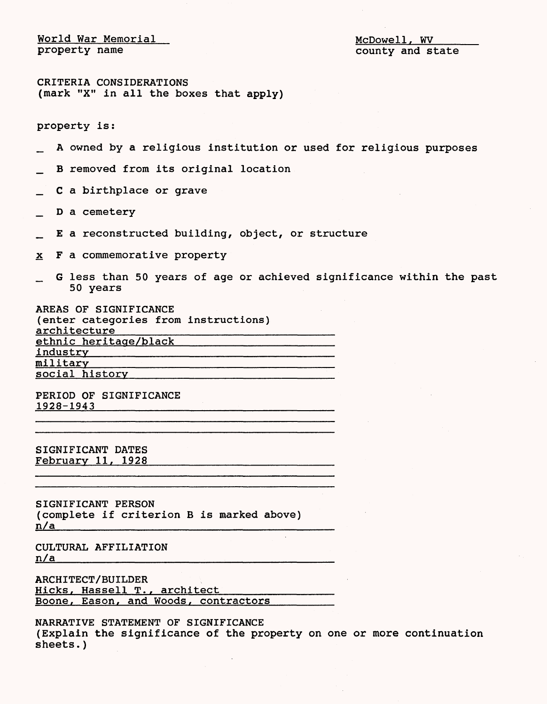World War Memorial McDowell, WV McDowell, WV McDowell, WV McDowell, WV McDowell, WV McDowell, WV McDowell, WV McDowell, WV McDowell, WV McDowell, WV McDowell, WV McDowell, WV McDowell, WV McDowell, WV McDowell, WV McDowell

county and state

CRITERIA CONSIDERATIONS (mark "X" in all the boxes that apply)

property is:

- A owned by a religious institution or used for religious purposes
- B removed from its original location
- \_\_ C a birthplace or grave
- \_ D a cemetery
- \_ E a reconstructed building, object, or structure
- x Fa commemorative property
- G less than 50 years of age or achieved significance within the past 50 years

AREAS OF SIGNIFICANCE (enter categories from instructions) architecture ethnic heritage/black industry military social history

PERIOD OF SIGNIFICANCE 1928-1943\_\_\_\_\_\_\_\_\_\_

SIGNIFICANT DATES February 11, 1928

SIGNIFICANT PERSON (complete if criterion B is marked above)  $n/a$ 

CULTURAL AFFILIATION  $n/a$ 

ARCHITECT/BUILDER Hicks, Hassell T., architect<br>Boone, Eason, and Woods, contractors

NARRATIVE STATEMENT OF SIGNIFICANCE (Explain the significance of the property on one or more continuation sheets.)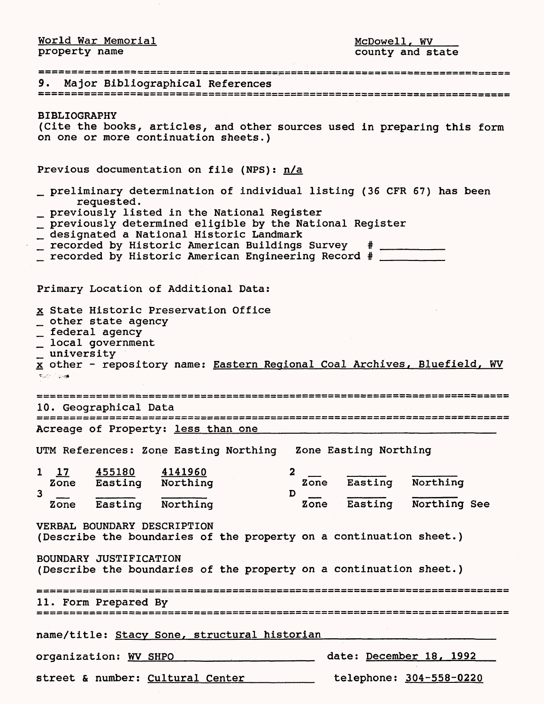World War Memorial **McDowell, W** 

property name **county** and state

| 9. Major Bibliographical References                                                                                                                                                                                                                                                                                                                                          |
|------------------------------------------------------------------------------------------------------------------------------------------------------------------------------------------------------------------------------------------------------------------------------------------------------------------------------------------------------------------------------|
| <b>BIBLIOGRAPHY</b><br>(Cite the books, articles, and other sources used in preparing this form<br>on one or more continuation sheets.)                                                                                                                                                                                                                                      |
| Previous documentation on file (NPS): n/a                                                                                                                                                                                                                                                                                                                                    |
| preliminary determination of individual listing (36 CFR 67) has been<br>requested.<br>_ previously listed in the National Register<br>_ previously determined eligible by the National Register<br>_ designated a National Historic Landmark<br>_ recorded by Historic American Buildings Survey # __________<br>_ recorded by Historic American Engineering Record # ______ |
| Primary Location of Additional Data:                                                                                                                                                                                                                                                                                                                                         |
| x State Historic Preservation Office<br>_ other state agency<br>_ federal agency<br>$\overline{\phantom{a}}$ local government<br>_ university<br>x other - repository name: Eastern Regional Coal Archives, Bluefield, WV<br><b>Kuth Light</b>                                                                                                                               |
| 10. Geographical Data                                                                                                                                                                                                                                                                                                                                                        |
| Acreage of Property: less than one                                                                                                                                                                                                                                                                                                                                           |
| UTM References: Zone Easting Northing Zone Easting Northing                                                                                                                                                                                                                                                                                                                  |
| 1 17 455180 4141960<br>Zone Easting Northing<br>$\mathbf{2}$<br>Zone Easting Northing<br>$\overline{\mathbf{3}}$<br>D                                                                                                                                                                                                                                                        |
| Zone Easting Northing<br>Zone Easting<br>Northing See                                                                                                                                                                                                                                                                                                                        |
| VERBAL BOUNDARY DESCRIPTION<br>(Describe the boundaries of the property on a continuation sheet.)                                                                                                                                                                                                                                                                            |
| BOUNDARY JUSTIFICATION<br>(Describe the boundaries of the property on a continuation sheet.)                                                                                                                                                                                                                                                                                 |
| 11. Form Prepared By                                                                                                                                                                                                                                                                                                                                                         |
| name/title: Stacy Sone, structural historian                                                                                                                                                                                                                                                                                                                                 |
| date: December 18, 1992<br>organization: WV SHPO                                                                                                                                                                                                                                                                                                                             |
| telephone: 304-558-0220<br>street & number: Cultural Center                                                                                                                                                                                                                                                                                                                  |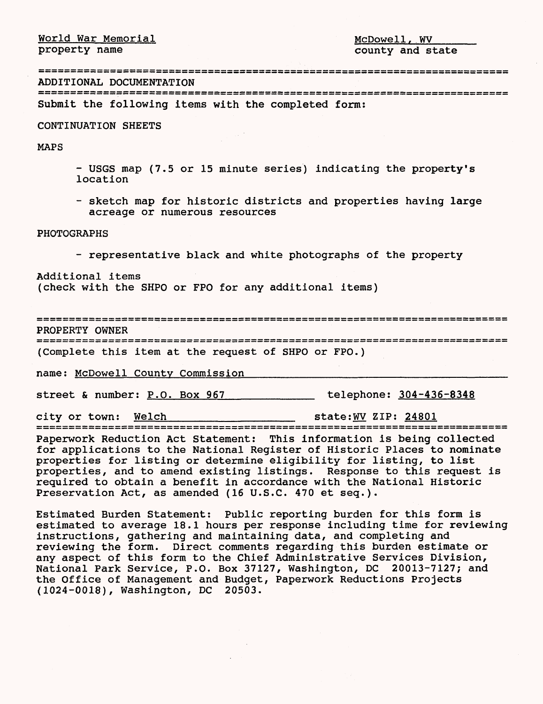$\begin{tabular}{llllll} \hline World War Memorial & \multicolumn{2}{l}{{\footnotesize MCDowell, WV}} \\ \hline property name & \multicolumn{2}{l}{\footnotesize Droperty and st} \end{tabular}$ 

county and state

ADDITIONAL DOCUMENTATION

|  |  |  | ADDITIONAL DOCUMENTATION |  |
|--|--|--|--------------------------|--|
|--|--|--|--------------------------|--|

Submit the following items with the completed form:

 $\sim$   $^{-1}$ 

CONTINUATION SHEETS

MAPS

- USGS map (7.5 or 15 minute series) indicating the property's location
- sketch map for historic districts and properties having large acreage or numerous resources

## PHOTOGRAPHS

- representative black and white photographs of the property

Additional items (check with the SHPO or FPO for any additional items)

PROPERTY OWNER

(Complete this item at the request of SHPO or FPO.)

name: McDowell County Commission

street & number: P.O. Box 967 [100] telephone: 304-436-8348

city or town: <u>Welch state:WV</u> ZIP: 24801

Paperwork Reduction Act Statement: This information is being collected for applications to the National Register of Historic Places to nominate properties for listing or determine eligibility for listing, to list properties, and to amend existing listings. Response to this request is required to obtain a benefit in accordance with the National Historic Preservation Act, as amended (16 U.S.C. 470 et seq.).

Estimated Burden Statement: Public reporting burden for this form is estimated to average 18.1 hours per response including time for reviewing instructions, gathering and maintaining data, and completing and reviewing the form. Direct comments regarding this burden estimate or any aspect of this form to the Chief Administrative Services Division, National Park Service, P.O. Box 37127, Washington, DC 20013-7127; and the Office of Management and Budget, Paperwork Reductions Projects (1024-0018), Washington, DC 20503.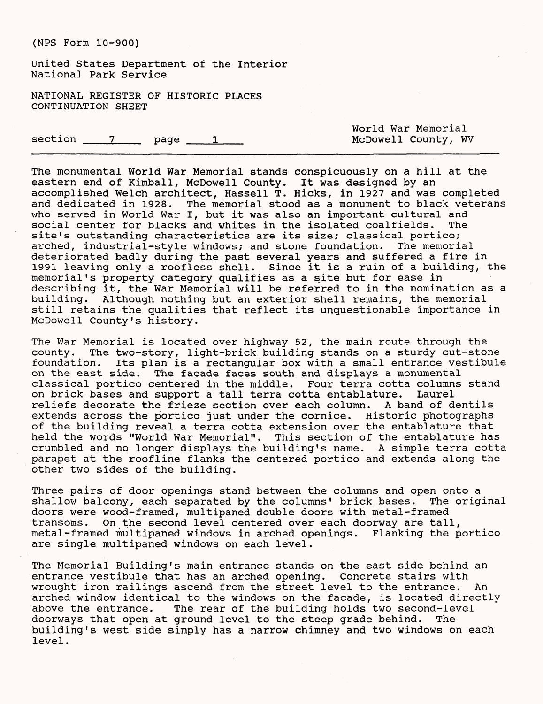United States Department of the Interior National Park Service

NATIONAL REGISTER OF HISTORIC PLACES CONTINUATION SHEET

 $section$   $7$  page  $1$ 

World War Memorial McDowell County, WV

The monumental World War Memorial stands conspicuously on a hill at the eastern end of Kimball, McDowell County. It was designed by an accomplished Welch architect, Hassell T. Hicks, in 1927 and was completed and dedicated in 1928. The memorial stood as a monument to black veterans who served in World War I, but it was also an important cultural and social center for blacks and whites in the isolated coalfields. The site's outstanding characteristics are its size; classical portico; arched, industrial-style windows; and stone foundation. The memorial deteriorated badly during the past several years and suffered a fire in 1991 leaving only a roofless shell. Since it is a ruin of a building, the memorial's property category qualifies as a site but for ease in describing it, the War Memorial will be referred to in the nomination as a building. Although nothing but an exterior shell remains, the memorial still retains the qualities that reflect its unquestionable importance in McDowell County's history.

The War Memorial is located over highway 52, the main route through the county. The two-story, light-brick building stands on a sturdy cut-stone foundation. Its plan is a rectangular box with a small entrance vestibule on the east side. The facade faces south and displays a monumental classical portico centered in the middle. Four terra cotta columns stand on brick bases and support a tall terra cotta entablature. Laurel reliefs decorate the frieze section over each column. A band of dentils extends across the portico just under the cornice. Historic photographs of the building reveal a terra cotta extension over the entablature that held the words "World War Memorial". This section of the entablature has crumbled and no longer displays the building's name. A simple terra cotta parapet at the roofline flanks the centered portico and extends along the other two sides of the building.

Three pairs of door openings stand between the columns and open onto a<br>shallow balcony, each separated by the columns' brick bases. The original shallow balcony, each separated by the columns' brick bases. The original doors were wood-framed, multipaned double doors with metal-framed transoms. On the second level centered over each doorway are tall, metal-framed multipaned windows in arched openings. Flanking the portico are single multipaned windows on each level.

The Memorial Building's main entrance stands on the east side behind an entrance vestibule that has an arched opening. Concrete stairs with wrought iron railings ascend from the street level to the entrance. An arched window identical to the windows on the facade, is located directly above the entrance. The rear of the building holds two second-level doorways that open at ground level to the steep grade behind. The building's west side simply has a narrow chimney and two windows on each level.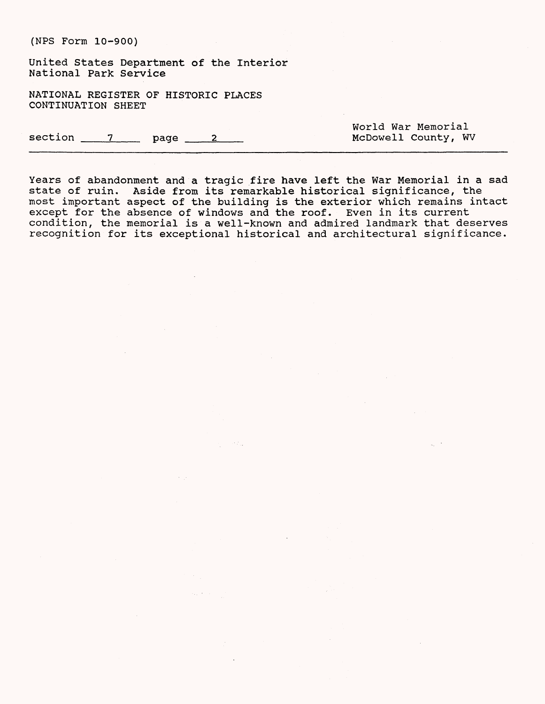United States Department of the Interior National Park Service

NATIONAL REGISTER OF HISTORIC PLACES CONTINUATION SHEET

 $section$   $7$  page  $2$ 

World War Memorial McDowell County, WV

Years of abandonment and a tragic fire have left the War Memorial in a sad state of ruin. Aside from its remarkable historical significance, the most important aspect of the building is the exterior which remains intact except for the absence of windows and the roof. Even in its current condition, the memorial is a well-known and admired landmark that deserves recognition for its exceptional historical and architectural significance.

SANG.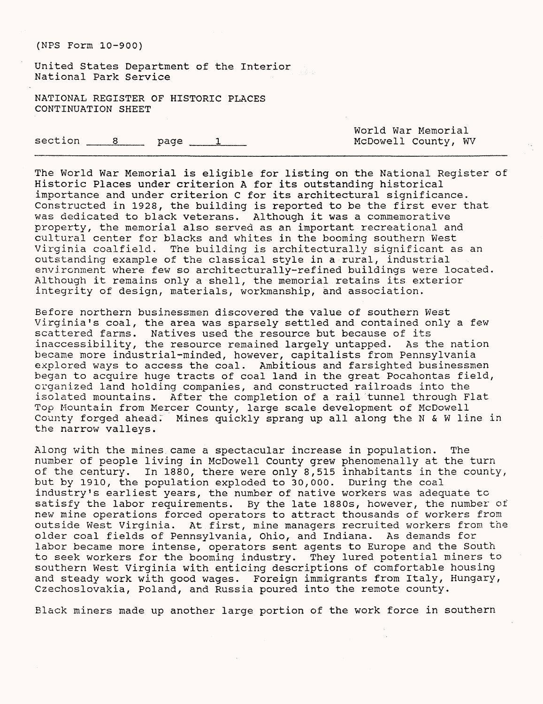United States Department of the Interior National Park Service

NATIONAL REGISTER OF HISTORIC PLACES CONTINUATION SHEET

section 8 page 1

World War Memorial McDowell County, WV

The World War Memorial is eligible for listing on the National Register of Historic Places under criterion A for its outstanding historical importance and under criterion C for its architectural significance. Constructed in 1928, the building is reported to be the first ever that was dedicated to black veterans. Although it was a commemorative property, the memorial also served as an important recreational and cultural center for blacks and whites in the booming southern West Virginia coalfield. The building is architecturally significant as an outstanding example of the classical style in a-rural, industrial environment where few so architecturally-refined buildings were located. Although it remains only a shell, the memorial retains its exterior integrity of design, materials, workmanship, and association.

Before northern businessmen discovered the value of southern West Virginia's coal, the area was sparsely settled and contained only a few scattered farms. Natives used the resource but because of its inaccessibility, the resource remained largely untapped. As the nation became more industrial-minded, however, capitalists from Pennsylvania explored ways to access the coal. Ambitious and farsighted businessmen began to acquire huge tracts of coal land in the great Pocahontas field, organized land holding companies, and constructed railroads into the isolated mountains. After the completion of a rail tunnel through Flat Top Mountain from Mercer County, large scale development of McDowell County forged ahead; Mines quickly sprang up all along the N & W line in the narrow valleys.

Along with the mines came a spectacular increase in population. The number of people living in McDowell County grew phenomenally at the turn of the century. In 1880, there were only 8,515 inhabitants in the county, but by 1910, the population exploded to 30,000. During the coal industry's earliest years, the number of native workers was adequate to satisfy the labor requirements. By the late 1880s, however, the number of new mine operations forced operators to attract thousands of workers from outside West Virginia. At first, mine managers recruited workers from the older coal fields of Pennsylvania, Ohio, and Indiana. As demands for labor became more intense, operators sent agents to Europe and the South to seek workers for the booming industry. They lured potential miners to southern West Virginia with enticing descriptions of comfortable housing and steady work with good wages. Foreign immigrants from Italy, Hungary, Czechoslovakia, Poland, and Russia poured into the remote county.

Black miners made up another large portion of the work force in southern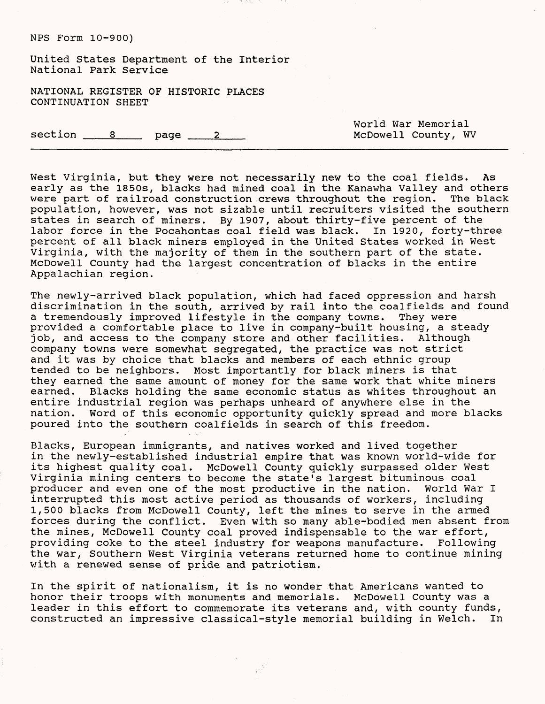United States Department of the Interior National Park Service

NATIONAL REGISTER OF HISTORIC PLACES CONTINUATION SHEET

 $\text{section}$   $\qquad 8$  page  $\qquad 2$ 

World War Memorial McDowell County, WV

West Virginia, but they were not necessarily new to the coal fields. As early as the 1850s, blacks had mined coal in the Kanawha Valley and others<br>were part of railroad construction crews throughout the region. The black were part of railroad construction crews throughout the region. population, however, was not sizable until recruiters visited the southern states in search of miners. By 1907, about thirty-five percent of the labor force in the Pocahontas coal field was black. In 1920, forty-three percent of all black miners employed in the United States worked in West Virginia, with the majority of them in the southern part of the state. McDowell County had the largest concentration of blacks in the entire Appalachian region.

The newly-arrived black population, which had faced oppression and harsh discrimination in the south, arrived by rail into the coalfields and found a tremendously improved lifestyle in the company towns. They were provided a comfortable place to live in company-built housing, a steady job, and access to the company store and other facilities. Although company towns were somewhat segregated, the practice was not strict and it was by choice that blacks and members of each ethnic group tended to be neighbors. Most importantly for black miners is that they earned the same amount of money for the same work that white miners<br>earned. Blacks holding the same economic status as whites throughout an Blacks holding the same economic status as whites throughout an entire industrial region was perhaps unheard of anywhere else in the nation. Word of this economic opportunity quickly spread and more blacks poured into the southern coalfields in search of this freedom.

Blacks, European immigrants, and natives worked and lived together in the newly-established industrial empire that was known world-wide for its highest quality coal. McDowell County quickly surpassed older West Virginia mining centers to become the state's largest bituminous coal producer and even one of the most productive in the nation. World War I interrupted this most active period as thousands of workers, including 1,500 blacks from McDowell County, left the mines to serve in the armed forces during the conflict. Even with so many able-bodied men absent from the mines, McDowell County coal proved indispensable to the war effort, providing coke to the steel industry for weapons manufacture. Following the war, Southern West Virginia veterans returned home to continue mining with a renewed sense of pride and patriotism.

In the spirit of nationalism, it is no wonder that Americans wanted to honor their troops with monuments and memorials. McDowell County was a leader in this effort to commemorate its veterans and, with county funds,<br>constructed an impressive classical-style memorial building in Welch. In constructed an impressive classical-style memorial building in Welch.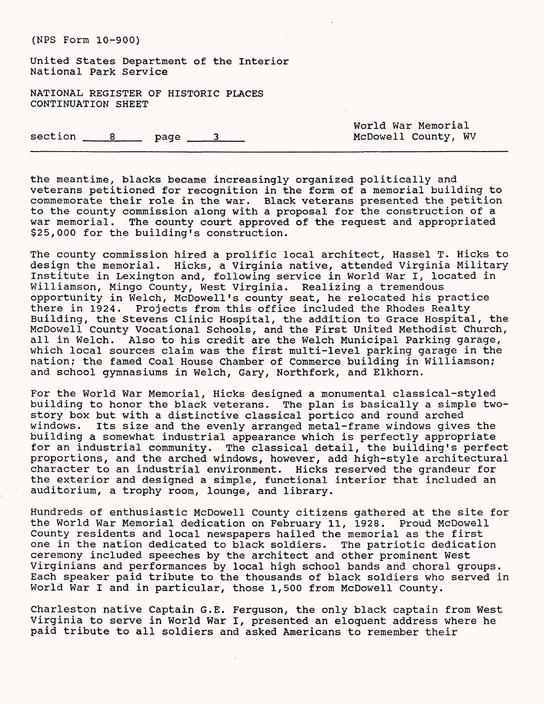United States Department of the Interior National Park Service

NATIONAL REGISTER OF HISTORIC PLACES CONTINUATION SHEET

 $section$   $8$  page  $3$ 

World War Memorial McDowell County, WV

the meantime, blacks became increasingly organized politically and veterans petitioned for recognition in the form of a memorial building to commemorate their role in the war. Black veterans presented the petition to the county commission along with a proposal for the construction of a war memorial. The county court approved of the request and appropriated \$25,000 for the building's construction.

The county commission hired a prolific local architect, Hassel T. Hicks to design the memorial. Hicks, a Virginia native, attended Virginia Military Institute in Lexington and, following service in World War I, located in Williamson, Mingo County, West Virginia. Realizing a tremendous opportunity in Welch, McDowell's county seat, he relocated his practice there in 1924. Projects from this office included the Rhodes Realty Building, the Stevens Clinic Hospital, the addition to Grace Hospital, the McDowell County Vocational Schools, and the First United Methodist Church,<br>all in Welch. Also to his credit are the Welch Municipal Parking garage, Also to his credit are the Welch Municipal Parking garage, which local sources claim was the first multi-level parking garage in the nation; the famed Coal House Chamber of Commerce building in Williamson; and school gymnasiums in Welch, Gary, Northfork, and Elkhorn.

For the World War Memorial, Hicks designed a monumental classical-styled building to honor the black veterans. The plan is basically a simple twostory box but with a distinctive classical portico and round arched windows. its size and the evenly arranged metal-frame windows gives the building a somewhat industrial appearance which is perfectly appropriate for an industrial community. The classical detail, the building's perfect proportions, and the arched windows, however, add high-style architectural character to an industrial environment. Hicks reserved the grandeur for the exterior and designed a simple, functional interior that included an auditorium, a trophy room, lounge, and library.

Hundreds of enthusiastic McDowell County citizens gathered at the site for the World War Memorial dedication on February 11, 1928. Proud McDowell County residents and local newspapers hailed the memorial as the first one in the nation dedicated to black soldiers. The patriotic dedication ceremony included speeches by the architect and other prominent West Virginians and performances by local high school bands and choral groups. Each speaker paid tribute to the thousands of black soldiers who served in World War I and in particular, those 1,500 from McDowell County.

Charleston native Captain G.E. Ferguson, the only black captain from West Virginia to serve in World War I, presented an eloquent address where he paid tribute to all soldiers and asked Americans to remember their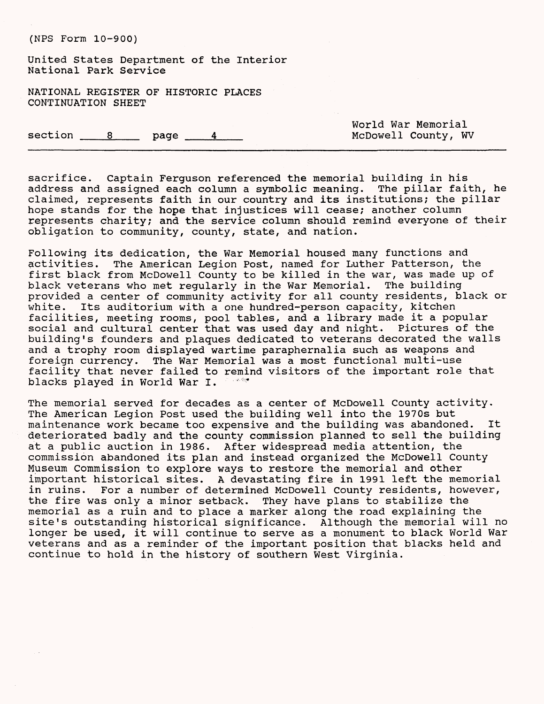United States Department of the Interior National Park Service

NATIONAL REGISTER OF HISTORIC PLACES CONTINUATION SHEET

 $section$   $8$  page  $4$ 

World War Memorial McDowell County, WV

sacrifice. Captain Ferguson referenced the memorial building in his address and assigned each column a symbolic meaning. The pillar faith, he claimed, represents faith in our country and its institutions; the pillar hope stands for the hope that injustices will cease; another column represents charity; and the service column should remind everyone of their obligation to community, county, state, and nation.

Following its dedication, the War Memorial housed many functions and activities. The American Legion Post, named for Luther Patterson, the first black from McDowell County to be killed in the war, was made up of black veterans who met regularly in the War Memorial. The building provided a center of community activity for all county residents, black or white. Its auditorium with a one hundred-person capacity, kitchen facilities, meeting rooms, pool tables, and a library made it a popular social and cultural center that was used day and night. Pictures of the building's founders and plaques dedicated to veterans decorated the walls and a trophy room displayed wartime paraphernalia such as weapons and foreign currency. The War Memorial was a most functional multi-use facility that never failed to remind visitors of the important role that blacks played in World War I. *•"'•\*\**

The memorial served for decades as a center of McDowell County activity. The American Legion Post used the building well into the 1970s but maintenance work became too expensive and the building was abandoned. It deteriorated badly and the county commission planned to sell the building at a public auction in 1986. After widespread media attention, the commission abandoned its plan and instead organized the McDowell County Museum Commission to explore ways to restore the memorial and other important historical sites. A devastating fire in 1991 left the memorial in ruins. For a number of determined McDowell County residents, however, the fire was only a minor setback. They have plans to stabilize the memorial as a ruin and to place a marker along the road explaining the site's outstanding historical significance. Although the memorial will no longer be used, it will continue to serve as a monument to black World War veterans and as a reminder of the important position that blacks held and continue to hold in the history of southern West Virginia.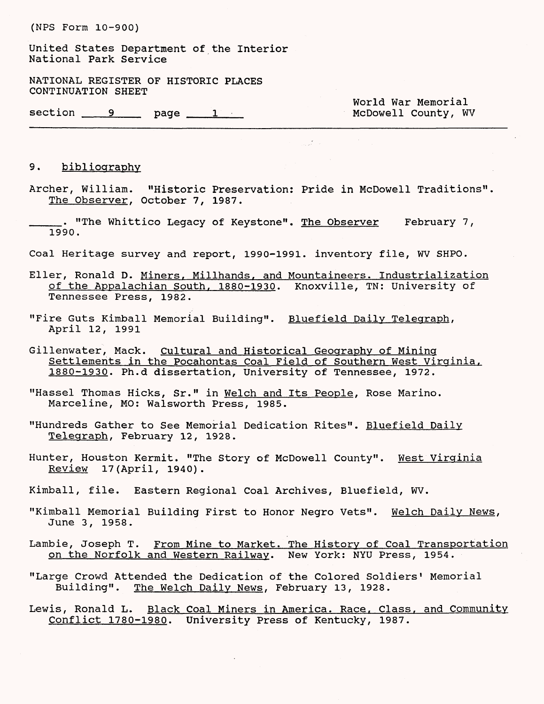United States Department of the Interior National Park Service

NATIONAL REGISTER OF HISTORIC PLACES CONTINUATION SHEET

section 9 page 1

World War Memorial<br>McDowell County, WV

#### 9. bibliography

Archer, William. "Historic Preservation: Pride in McDowell Traditions". The Observer, October 7, 1987.

 $\frac{1}{2} \sum_{i=1}^N \frac{1}{2} \sum_{j=1}^N \frac{1}{2} \sum_{j=1}^N \frac{1}{2} \sum_{j=1}^N \frac{1}{2} \sum_{j=1}^N \frac{1}{2} \sum_{j=1}^N \frac{1}{2} \sum_{j=1}^N \frac{1}{2} \sum_{j=1}^N \frac{1}{2} \sum_{j=1}^N \frac{1}{2} \sum_{j=1}^N \frac{1}{2} \sum_{j=1}^N \frac{1}{2} \sum_{j=1}^N \frac{1}{2} \sum_{j=1}^N \frac{1}{2} \sum_{j=$ 

- . "The Whittico Legacy of Keystone". The Observer February 7, 1990.
- Coal Heritage survey and report, 1990-1991. inventory file, WV SHPO.
- Eller, Ronald D. Miners. Millhands. and Mountaineers. Industrialization of the Appalachian South, 1880-1930. Knoxville, TN: University of Tennessee Press, 1982.
- "Fire Guts Kimball Memorial Building". Bluefield Daily Telegraph, April 12, 1991
- Gillenwater, Mack. Cultural and Historical Geography of Mining Settlements in the Pocahontas Coal Field of Southern West Virginia, 1880-1930. Ph.d dissertation, University of Tennessee, 1972.
- "Hassel Thomas Hicks, Sr." in Welch and Its People. Rose Marino. Marceline, MO: Walsworth Press, 1985.
- "Hundreds Gather to See Memorial Dedication Rites". Bluefield Daily Telegraph, February 12, 1928.
- Hunter, Houston Kermit. "The Story of McDowell County". West Virginia Review 17(April, 1940).
- Kimball, file. Eastern Regional Coal Archives, Bluefield, WV.
- "Kimball Memorial Building First to Honor Negro Vets". Welch Daily News, June 3, 1958.
- Lambie, Joseph T. From Mine to Market. The History of Coal Transportation on the Norfolk and Western Railway. New York: NYU Press, 1954.
- "Large Crowd Attended the Dedication of the Colored Soldiers' Memorial Building". The Welch Daily News. February 13, 1928.
- Lewis, Ronald L. Black Coal Miners in America. Race, Class, and Community Conflict 1780-1980. University Press of Kentucky, 1987.